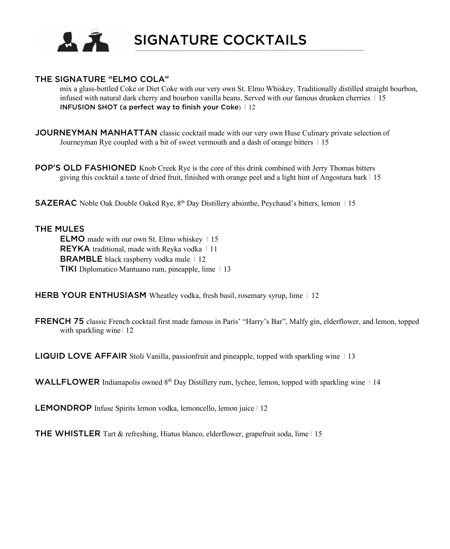

SIGNATURE COCKTAILS

#### THE SIGNATURE "ELMO COLA"

mix a glass-bottled Coke or Diet Coke with our very own St. Elmo Whiskey. Traditionally distilled straight bourbon, infused with natural dark cherry and bourbon vanilla beans. Served with our famous drunken cherries | 15 INFUSION SHOT (a perfect way to finish your Coke)  $\vert$  12

- JOURNEYMAN MANHATTAN classic cocktail made with our very own Huse Culinary private selection of Journeyman Rye coupled with a bit of sweet vermouth and a dash of orange bitters  $\pm 15$
- POP'S OLD FASHIONED Knob Creek Rye is the core of this drink combined with Jerry Thomas bitters giving this cocktail a taste of dried fruit, finished with orange peel and a light hint of Angostura bark  $\vert$  15

SAZERAC Noble Oak Double Oaked Rye, 8<sup>th</sup> Day Distillery absinthe, Peychaud's bitters, lemon 115

#### THE MULES

ELMO made with our own St. Elmo whiskeyI 15 REYKA traditional, made with Reyka vodkaI 11 **BRAMBLE** black raspberry vodka mule 12 **TIKI** Diplomatico Mantuano rum, pineapple, lime  $\vert$  13

HERB YOUR ENTHUSIASM Wheatley vodka, fresh basil, rosemary syrup, lime | 12

FRENCH 75 classic French cocktail first made famous in Paris' "Harry's Bar", Malfy gin, elderflower, and lemon, topped with sparkling wine | 12

**LIQUID LOVE AFFAIR** Stoli Vanilla, passionfruit and pineapple, topped with sparkling wine  $\vert \vert$  13

WALLFLOWER Indianapolis owned  $8<sup>th</sup>$  Day Distillery rum, lychee, lemon, topped with sparkling wine 14

LEMONDROP Infuse Spirits lemon vodka, lemoncello, lemon juice | 12

**THE WHISTLER** Tart & refreshing, Hiatus blanco, elderflower, grapefruit soda, lime  $\vert$  15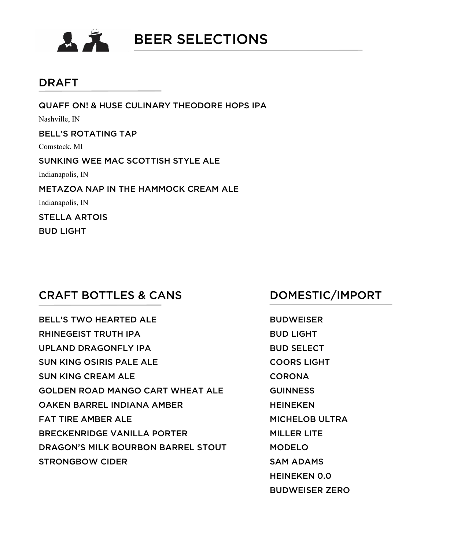

#### DRAFT

QUAFF ON! & HUSE CULINARY THEODORE HOPS IPA Nashville, IN BELL'S ROTATING TAP Comstock, MI SUNKING WEE MAC SCOTTISH STYLE ALE Indianapolis, IN METAZOA NAP IN THE HAMMOCK CREAM ALE Indianapolis, IN STELLA ARTOIS

BUD LIGHT

#### CRAFT BOTTLES & CANS DOMESTIC/IMPORT

BELL'S TWO HEARTED ALE **Example 19 SHOWEISER** RHINEGEIST TRUTH IPA BUD LIGHT UPLAND DRAGONFLY IPA BUD SELECT SUN KING OSIRIS PALE ALE COORS LIGHT SUN KING CREAM ALE CORONA GOLDEN ROAD MANGO CART WHEAT ALE GUINNESS OAKEN BARREL INDIANA AMBER HEINEKEN FAT TIRE AMBER ALE **MICHELOB ULTRA** BRECKENRIDGE VANILLA PORTER MILLER LITE DRAGON'S MILK BOURBON BARREL STOUT MODELO STRONGBOW CIDER SAM ADAMS

HEINEKEN 0.0 BUDWEISER ZERO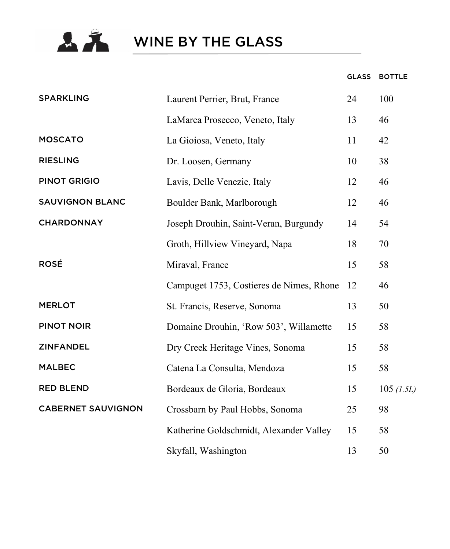

**A**<br>WINE BY THE GLASS

#### GLASS BOTTLE

| <b>SPARKLING</b>          | Laurent Perrier, Brut, France            | 24 | 100        |
|---------------------------|------------------------------------------|----|------------|
|                           | LaMarca Prosecco, Veneto, Italy          | 13 | 46         |
| <b>MOSCATO</b>            | La Gioiosa, Veneto, Italy                | 11 | 42         |
| <b>RIESLING</b>           | Dr. Loosen, Germany                      | 10 | 38         |
| <b>PINOT GRIGIO</b>       | Lavis, Delle Venezie, Italy              | 12 | 46         |
| <b>SAUVIGNON BLANC</b>    | Boulder Bank, Marlborough                | 12 | 46         |
| <b>CHARDONNAY</b>         | Joseph Drouhin, Saint-Veran, Burgundy    | 14 | 54         |
|                           | Groth, Hillview Vineyard, Napa           | 18 | 70         |
| <b>ROSÉ</b>               | Miraval, France                          | 15 | 58         |
|                           | Campuget 1753, Costieres de Nimes, Rhone | 12 | 46         |
| <b>MERLOT</b>             | St. Francis, Reserve, Sonoma             | 13 | 50         |
| <b>PINOT NOIR</b>         | Domaine Drouhin, 'Row 503', Willamette   | 15 | 58         |
| <b>ZINFANDEL</b>          | Dry Creek Heritage Vines, Sonoma         | 15 | 58         |
| <b>MALBEC</b>             | Catena La Consulta, Mendoza              | 15 | 58         |
| <b>RED BLEND</b>          | Bordeaux de Gloria, Bordeaux             | 15 | 105 (1.5L) |
| <b>CABERNET SAUVIGNON</b> | Crossbarn by Paul Hobbs, Sonoma          | 25 | 98         |
|                           | Katherine Goldschmidt, Alexander Valley  | 15 | 58         |
|                           | Skyfall, Washington                      | 13 | 50         |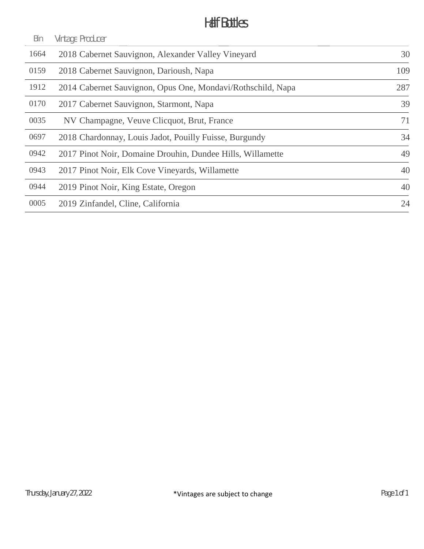### Half Bottles

| Bin  | Vintage Producer                                            |     |
|------|-------------------------------------------------------------|-----|
| 1664 | 2018 Cabernet Sauvignon, Alexander Valley Vineyard          | 30  |
| 0159 | 2018 Cabernet Sauvignon, Darioush, Napa                     | 109 |
| 1912 | 2014 Cabernet Sauvignon, Opus One, Mondavi/Rothschild, Napa | 287 |
| 0170 | 2017 Cabernet Sauvignon, Starmont, Napa                     | 39  |
| 0035 | NV Champagne, Veuve Clicquot, Brut, France                  | 71  |
| 0697 | 2018 Chardonnay, Louis Jadot, Pouilly Fuisse, Burgundy      | 34  |
| 0942 | 2017 Pinot Noir, Domaine Drouhin, Dundee Hills, Willamette  | 49  |
| 0943 | 2017 Pinot Noir, Elk Cove Vineyards, Willamette             | 40  |
| 0944 | 2019 Pinot Noir, King Estate, Oregon                        | 40  |
| 0005 | 2019 Zinfandel, Cline, California                           | 24  |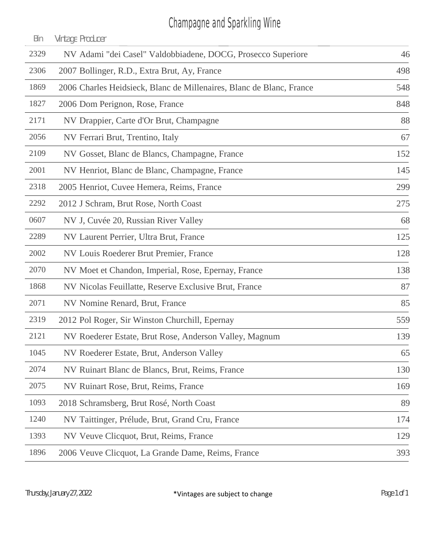# Champagne and Sparkling Wine

| Bin  | Vintage Producer                                                     |     |
|------|----------------------------------------------------------------------|-----|
| 2329 | NV Adami "dei Casel" Valdobbiadene, DOCG, Prosecco Superiore         | 46  |
| 2306 | 2007 Bollinger, R.D., Extra Brut, Ay, France                         | 498 |
| 1869 | 2006 Charles Heidsieck, Blanc de Millenaires, Blanc de Blanc, France | 548 |
| 1827 | 2006 Dom Perignon, Rose, France                                      | 848 |
| 2171 | NV Drappier, Carte d'Or Brut, Champagne                              | 88  |
| 2056 | NV Ferrari Brut, Trentino, Italy                                     | 67  |
| 2109 | NV Gosset, Blanc de Blancs, Champagne, France                        | 152 |
| 2001 | NV Henriot, Blanc de Blanc, Champagne, France                        | 145 |
| 2318 | 2005 Henriot, Cuvee Hemera, Reims, France                            | 299 |
| 2292 | 2012 J Schram, Brut Rose, North Coast                                | 275 |
| 0607 | NV J, Cuvée 20, Russian River Valley                                 | 68  |
| 2289 | NV Laurent Perrier, Ultra Brut, France                               | 125 |
| 2002 | NV Louis Roederer Brut Premier, France                               | 128 |
| 2070 | NV Moet et Chandon, Imperial, Rose, Epernay, France                  | 138 |
| 1868 | NV Nicolas Feuillatte, Reserve Exclusive Brut, France                | 87  |
| 2071 | NV Nomine Renard, Brut, France                                       | 85  |
| 2319 | 2012 Pol Roger, Sir Winston Churchill, Epernay                       | 559 |
| 2121 | NV Roederer Estate, Brut Rose, Anderson Valley, Magnum               | 139 |
| 1045 | NV Roederer Estate, Brut, Anderson Valley                            | 65  |
| 2074 | NV Ruinart Blanc de Blancs, Brut, Reims, France                      | 130 |
| 2075 | NV Ruinart Rose, Brut, Reims, France                                 | 169 |
| 1093 | 2018 Schramsberg, Brut Rosé, North Coast                             | 89  |
| 1240 | NV Taittinger, Prélude, Brut, Grand Cru, France                      | 174 |
| 1393 | NV Veuve Clicquot, Brut, Reims, France                               | 129 |
| 1896 | 2006 Veuve Clicquot, La Grande Dame, Reims, France                   | 393 |
|      |                                                                      |     |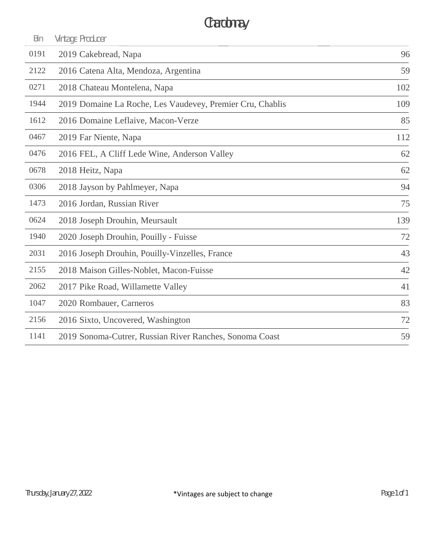# Chardonnay

| Bin  | Vintage Producer                                          |     |
|------|-----------------------------------------------------------|-----|
| 0191 | 2019 Cakebread, Napa                                      | 96  |
| 2122 | 2016 Catena Alta, Mendoza, Argentina                      | 59  |
| 0271 | 2018 Chateau Montelena, Napa                              | 102 |
| 1944 | 2019 Domaine La Roche, Les Vaudevey, Premier Cru, Chablis | 109 |
| 1612 | 2016 Domaine Leflaive, Macon-Verze                        | 85  |
| 0467 | 2019 Far Niente, Napa                                     | 112 |
| 0476 | 2016 FEL, A Cliff Lede Wine, Anderson Valley              | 62  |
| 0678 | 2018 Heitz, Napa                                          | 62  |
| 0306 | 2018 Jayson by Pahlmeyer, Napa                            | 94  |
| 1473 | 2016 Jordan, Russian River                                | 75  |
| 0624 | 2018 Joseph Drouhin, Meursault                            | 139 |
| 1940 | 2020 Joseph Drouhin, Pouilly - Fuisse                     | 72  |
| 2031 | 2016 Joseph Drouhin, Pouilly-Vinzelles, France            | 43  |
| 2155 | 2018 Maison Gilles-Noblet, Macon-Fuisse                   | 42  |
| 2062 | 2017 Pike Road, Willamette Valley                         | 41  |
| 1047 | 2020 Rombauer, Carneros                                   | 83  |
| 2156 | 2016 Sixto, Uncovered, Washington                         | 72  |
| 1141 | 2019 Sonoma-Cutrer, Russian River Ranches, Sonoma Coast   | 59  |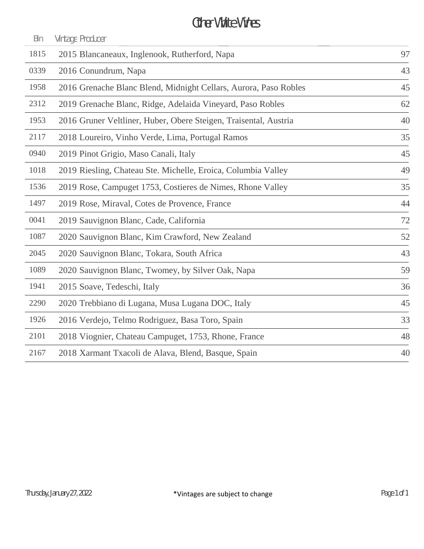## Other White Wines

| Bin  | Vintage Producer                                                 |    |
|------|------------------------------------------------------------------|----|
| 1815 | 2015 Blancaneaux, Inglenook, Rutherford, Napa                    | 97 |
| 0339 | 2016 Conundrum, Napa                                             | 43 |
| 1958 | 2016 Grenache Blanc Blend, Midnight Cellars, Aurora, Paso Robles | 45 |
| 2312 | 2019 Grenache Blanc, Ridge, Adelaida Vineyard, Paso Robles       | 62 |
| 1953 | 2016 Gruner Veltliner, Huber, Obere Steigen, Traisental, Austria | 40 |
| 2117 | 2018 Loureiro, Vinho Verde, Lima, Portugal Ramos                 | 35 |
| 0940 | 2019 Pinot Grigio, Maso Canali, Italy                            | 45 |
| 1018 | 2019 Riesling, Chateau Ste. Michelle, Eroica, Columbia Valley    | 49 |
| 1536 | 2019 Rose, Campuget 1753, Costieres de Nimes, Rhone Valley       | 35 |
| 1497 | 2019 Rose, Miraval, Cotes de Provence, France                    | 44 |
| 0041 | 2019 Sauvignon Blanc, Cade, California                           | 72 |
| 1087 | 2020 Sauvignon Blanc, Kim Crawford, New Zealand                  | 52 |
| 2045 | 2020 Sauvignon Blanc, Tokara, South Africa                       | 43 |
| 1089 | 2020 Sauvignon Blanc, Twomey, by Silver Oak, Napa                | 59 |
| 1941 | 2015 Soave, Tedeschi, Italy                                      | 36 |
| 2290 | 2020 Trebbiano di Lugana, Musa Lugana DOC, Italy                 | 45 |
| 1926 | 2016 Verdejo, Telmo Rodriguez, Basa Toro, Spain                  | 33 |
| 2101 | 2018 Viognier, Chateau Campuget, 1753, Rhone, France             | 48 |
| 2167 | 2018 Xarmant Txacoli de Alava, Blend, Basque, Spain              | 40 |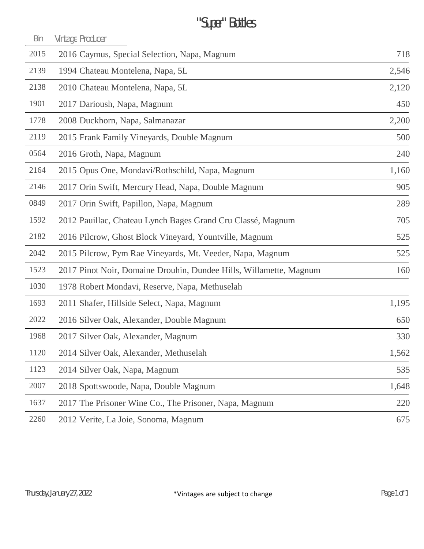# "Super" Bottles

| Bin  | Vintage Producer                                                   |       |
|------|--------------------------------------------------------------------|-------|
| 2015 | 2016 Caymus, Special Selection, Napa, Magnum                       | 718   |
| 2139 | 1994 Chateau Montelena, Napa, 5L                                   | 2,546 |
| 2138 | 2010 Chateau Montelena, Napa, 5L                                   | 2,120 |
| 1901 | 2017 Darioush, Napa, Magnum                                        | 450   |
| 1778 | 2008 Duckhorn, Napa, Salmanazar                                    | 2,200 |
| 2119 | 2015 Frank Family Vineyards, Double Magnum                         | 500   |
| 0564 | 2016 Groth, Napa, Magnum                                           | 240   |
| 2164 | 2015 Opus One, Mondavi/Rothschild, Napa, Magnum                    | 1,160 |
| 2146 | 2017 Orin Swift, Mercury Head, Napa, Double Magnum                 | 905   |
| 0849 | 2017 Orin Swift, Papillon, Napa, Magnum                            | 289   |
| 1592 | 2012 Pauillac, Chateau Lynch Bages Grand Cru Classé, Magnum        | 705   |
| 2182 | 2016 Pilcrow, Ghost Block Vineyard, Yountville, Magnum             | 525   |
| 2042 | 2015 Pilcrow, Pym Rae Vineyards, Mt. Veeder, Napa, Magnum          | 525   |
| 1523 | 2017 Pinot Noir, Domaine Drouhin, Dundee Hills, Willamette, Magnum | 160   |
| 1030 | 1978 Robert Mondavi, Reserve, Napa, Methuselah                     |       |
| 1693 | 2011 Shafer, Hillside Select, Napa, Magnum                         | 1,195 |
| 2022 | 2016 Silver Oak, Alexander, Double Magnum                          | 650   |
| 1968 | 2017 Silver Oak, Alexander, Magnum                                 | 330   |
| 1120 | 2014 Silver Oak, Alexander, Methuselah                             | 1,562 |
| 1123 | 2014 Silver Oak, Napa, Magnum                                      | 535   |
| 2007 | 2018 Spottswoode, Napa, Double Magnum                              | 1,648 |
| 1637 | 2017 The Prisoner Wine Co., The Prisoner, Napa, Magnum             | 220   |
| 2260 | 2012 Verite, La Joie, Sonoma, Magnum                               | 675   |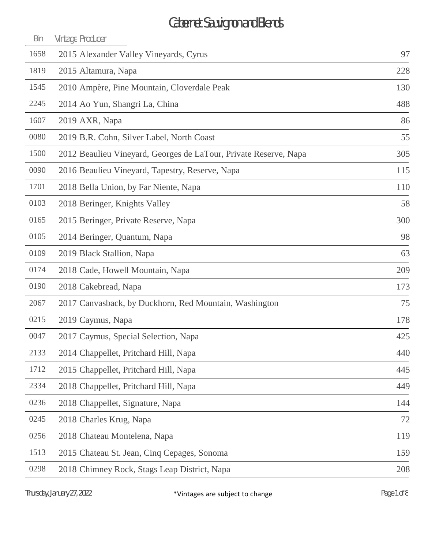| Bin  | Vintage Producer                                                 |     |
|------|------------------------------------------------------------------|-----|
| 1658 | 2015 Alexander Valley Vineyards, Cyrus                           | 97  |
| 1819 | 2015 Altamura, Napa                                              | 228 |
| 1545 | 2010 Ampère, Pine Mountain, Cloverdale Peak                      | 130 |
| 2245 | 2014 Ao Yun, Shangri La, China                                   | 488 |
| 1607 | 2019 AXR, Napa                                                   | 86  |
| 0080 | 2019 B.R. Cohn, Silver Label, North Coast                        | 55  |
| 1500 | 2012 Beaulieu Vineyard, Georges de LaTour, Private Reserve, Napa | 305 |
| 0090 | 2016 Beaulieu Vineyard, Tapestry, Reserve, Napa                  | 115 |
| 1701 | 2018 Bella Union, by Far Niente, Napa                            | 110 |
| 0103 | 2018 Beringer, Knights Valley                                    | 58  |
| 0165 | 2015 Beringer, Private Reserve, Napa                             | 300 |
| 0105 | 2014 Beringer, Quantum, Napa                                     | 98  |
| 0109 | 2019 Black Stallion, Napa                                        | 63  |
| 0174 | 2018 Cade, Howell Mountain, Napa                                 | 209 |
| 0190 | 2018 Cakebread, Napa                                             | 173 |
| 2067 | 2017 Canvasback, by Duckhorn, Red Mountain, Washington           | 75  |
| 0215 | 2019 Caymus, Napa                                                | 178 |
| 0047 | 2017 Caymus, Special Selection, Napa                             | 425 |
| 2133 | 2014 Chappellet, Pritchard Hill, Napa                            | 440 |
| 1712 | 2015 Chappellet, Pritchard Hill, Napa                            | 445 |
| 2334 | 2018 Chappellet, Pritchard Hill, Napa                            | 449 |
| 0236 | 2018 Chappellet, Signature, Napa                                 | 144 |
| 0245 | 2018 Charles Krug, Napa                                          | 72  |
| 0256 | 2018 Chateau Montelena, Napa                                     | 119 |
| 1513 | 2015 Chateau St. Jean, Cinq Cepages, Sonoma                      | 159 |
| 0298 | 2018 Chimney Rock, Stags Leap District, Napa                     | 208 |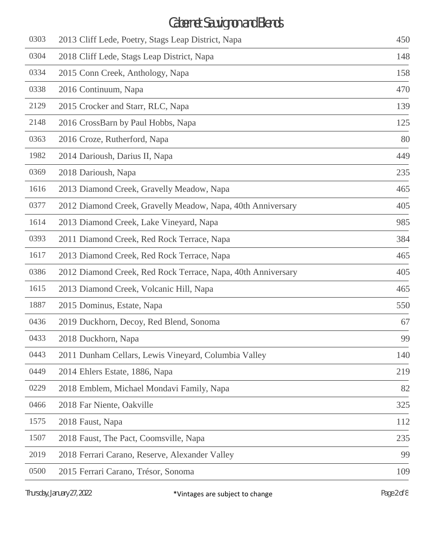| 0303 | 2013 Cliff Lede, Poetry, Stags Leap District, Napa           | 450 |
|------|--------------------------------------------------------------|-----|
| 0304 | 2018 Cliff Lede, Stags Leap District, Napa                   | 148 |
| 0334 | 2015 Conn Creek, Anthology, Napa                             | 158 |
| 0338 | 2016 Continuum, Napa                                         | 470 |
| 2129 | 2015 Crocker and Starr, RLC, Napa                            | 139 |
| 2148 | 2016 CrossBarn by Paul Hobbs, Napa                           | 125 |
| 0363 | 2016 Croze, Rutherford, Napa                                 | 80  |
| 1982 | 2014 Darioush, Darius II, Napa                               | 449 |
| 0369 | 2018 Darioush, Napa                                          | 235 |
| 1616 | 2013 Diamond Creek, Gravelly Meadow, Napa                    | 465 |
| 0377 | 2012 Diamond Creek, Gravelly Meadow, Napa, 40th Anniversary  | 405 |
| 1614 | 2013 Diamond Creek, Lake Vineyard, Napa                      | 985 |
| 0393 | 2011 Diamond Creek, Red Rock Terrace, Napa                   | 384 |
| 1617 | 2013 Diamond Creek, Red Rock Terrace, Napa                   | 465 |
| 0386 | 2012 Diamond Creek, Red Rock Terrace, Napa, 40th Anniversary | 405 |
| 1615 | 2013 Diamond Creek, Volcanic Hill, Napa                      | 465 |
| 1887 | 2015 Dominus, Estate, Napa                                   | 550 |
| 0436 | 2019 Duckhorn, Decoy, Red Blend, Sonoma                      | 67  |
| 0433 | 2018 Duckhorn, Napa                                          | 99  |
| 0443 | 2011 Dunham Cellars, Lewis Vineyard, Columbia Valley         | 140 |
| 0449 | 2014 Ehlers Estate, 1886, Napa                               | 219 |
| 0229 | 2018 Emblem, Michael Mondavi Family, Napa                    | 82  |
| 0466 | 2018 Far Niente, Oakville                                    | 325 |
| 1575 | 2018 Faust, Napa                                             | 112 |
| 1507 | 2018 Faust, The Pact, Coomsville, Napa                       | 235 |
| 2019 | 2018 Ferrari Carano, Reserve, Alexander Valley               | 99  |
| 0500 | 2015 Ferrari Carano, Trésor, Sonoma                          | 109 |
|      |                                                              |     |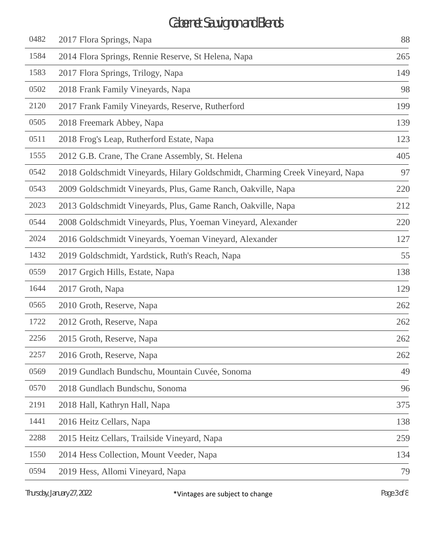| 0482 | 2017 Flora Springs, Napa                                                      | 88  |
|------|-------------------------------------------------------------------------------|-----|
| 1584 | 2014 Flora Springs, Rennie Reserve, St Helena, Napa                           | 265 |
| 1583 | 2017 Flora Springs, Trilogy, Napa                                             | 149 |
| 0502 | 2018 Frank Family Vineyards, Napa                                             | 98  |
| 2120 | 2017 Frank Family Vineyards, Reserve, Rutherford                              | 199 |
| 0505 | 2018 Freemark Abbey, Napa                                                     | 139 |
| 0511 | 2018 Frog's Leap, Rutherford Estate, Napa                                     | 123 |
| 1555 | 2012 G.B. Crane, The Crane Assembly, St. Helena                               | 405 |
| 0542 | 2018 Goldschmidt Vineyards, Hilary Goldschmidt, Charming Creek Vineyard, Napa | 97  |
| 0543 | 2009 Goldschmidt Vineyards, Plus, Game Ranch, Oakville, Napa                  | 220 |
| 2023 | 2013 Goldschmidt Vineyards, Plus, Game Ranch, Oakville, Napa                  | 212 |
| 0544 | 2008 Goldschmidt Vineyards, Plus, Yoeman Vineyard, Alexander                  | 220 |
| 2024 | 2016 Goldschmidt Vineyards, Yoeman Vineyard, Alexander                        | 127 |
| 1432 | 2019 Goldschmidt, Yardstick, Ruth's Reach, Napa                               | 55  |
| 0559 | 2017 Grgich Hills, Estate, Napa                                               | 138 |
| 1644 | 2017 Groth, Napa                                                              | 129 |
| 0565 | 2010 Groth, Reserve, Napa                                                     | 262 |
| 1722 | 2012 Groth, Reserve, Napa                                                     | 262 |
| 2256 | 2015 Groth, Reserve, Napa                                                     | 262 |
| 2257 | 2016 Groth, Reserve, Napa                                                     | 262 |
| 0569 | 2019 Gundlach Bundschu, Mountain Cuvée, Sonoma                                | 49  |
| 0570 | 2018 Gundlach Bundschu, Sonoma                                                | 96  |
| 2191 | 2018 Hall, Kathryn Hall, Napa                                                 | 375 |
| 1441 | 2016 Heitz Cellars, Napa                                                      | 138 |
| 2288 | 2015 Heitz Cellars, Trailside Vineyard, Napa                                  | 259 |
| 1550 | 2014 Hess Collection, Mount Veeder, Napa                                      | 134 |
| 0594 | 2019 Hess, Allomi Vineyard, Napa                                              | 79  |
|      |                                                                               |     |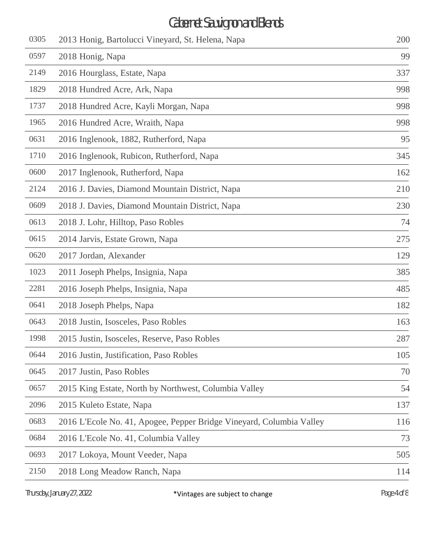| 2013 Honig, Bartolucci Vineyard, St. Helena, Napa                    | 200 |
|----------------------------------------------------------------------|-----|
| 2018 Honig, Napa                                                     | 99  |
| 2016 Hourglass, Estate, Napa                                         | 337 |
| 2018 Hundred Acre, Ark, Napa                                         | 998 |
| 2018 Hundred Acre, Kayli Morgan, Napa                                | 998 |
| 2016 Hundred Acre, Wraith, Napa                                      | 998 |
| 2016 Inglenook, 1882, Rutherford, Napa                               | 95  |
| 2016 Inglenook, Rubicon, Rutherford, Napa                            | 345 |
| 2017 Inglenook, Rutherford, Napa                                     | 162 |
| 2016 J. Davies, Diamond Mountain District, Napa                      | 210 |
| 2018 J. Davies, Diamond Mountain District, Napa                      | 230 |
| 2018 J. Lohr, Hilltop, Paso Robles                                   | 74  |
| 2014 Jarvis, Estate Grown, Napa                                      | 275 |
| 2017 Jordan, Alexander                                               | 129 |
| 2011 Joseph Phelps, Insignia, Napa                                   | 385 |
| 2016 Joseph Phelps, Insignia, Napa                                   | 485 |
| 2018 Joseph Phelps, Napa                                             | 182 |
| 2018 Justin, Isosceles, Paso Robles                                  | 163 |
| 2015 Justin, Isosceles, Reserve, Paso Robles                         | 287 |
| 2016 Justin, Justification, Paso Robles                              | 105 |
| 2017 Justin, Paso Robles                                             | 70  |
| 2015 King Estate, North by Northwest, Columbia Valley                | 54  |
| 2015 Kuleto Estate, Napa                                             | 137 |
| 2016 L'Ecole No. 41, Apogee, Pepper Bridge Vineyard, Columbia Valley | 116 |
| 2016 L'Ecole No. 41, Columbia Valley                                 | 73  |
| 2017 Lokoya, Mount Veeder, Napa                                      | 505 |
| 2018 Long Meadow Ranch, Napa                                         | 114 |
|                                                                      |     |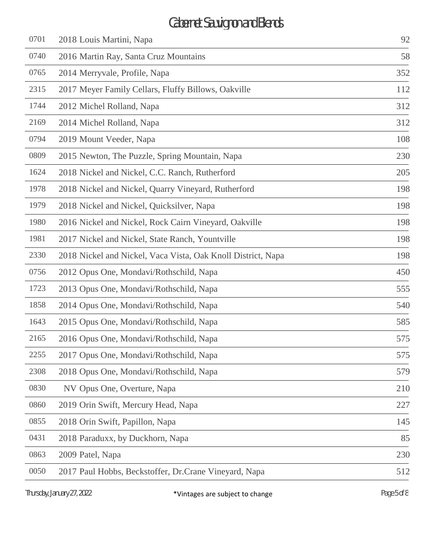| 0701 | 2018 Louis Martini, Napa                                     | 92  |
|------|--------------------------------------------------------------|-----|
| 0740 | 2016 Martin Ray, Santa Cruz Mountains                        | 58  |
| 0765 | 2014 Merryvale, Profile, Napa                                | 352 |
| 2315 | 2017 Meyer Family Cellars, Fluffy Billows, Oakville          | 112 |
| 1744 | 2012 Michel Rolland, Napa                                    | 312 |
| 2169 | 2014 Michel Rolland, Napa                                    | 312 |
| 0794 | 2019 Mount Veeder, Napa                                      | 108 |
| 0809 | 2015 Newton, The Puzzle, Spring Mountain, Napa               | 230 |
| 1624 | 2018 Nickel and Nickel, C.C. Ranch, Rutherford               | 205 |
| 1978 | 2018 Nickel and Nickel, Quarry Vineyard, Rutherford          | 198 |
| 1979 | 2018 Nickel and Nickel, Quicksilver, Napa                    | 198 |
| 1980 | 2016 Nickel and Nickel, Rock Cairn Vineyard, Oakville        | 198 |
| 1981 | 2017 Nickel and Nickel, State Ranch, Yountville              | 198 |
| 2330 | 2018 Nickel and Nickel, Vaca Vista, Oak Knoll District, Napa | 198 |
| 0756 | 2012 Opus One, Mondavi/Rothschild, Napa                      | 450 |
| 1723 | 2013 Opus One, Mondavi/Rothschild, Napa                      | 555 |
| 1858 | 2014 Opus One, Mondavi/Rothschild, Napa                      | 540 |
| 1643 | 2015 Opus One, Mondavi/Rothschild, Napa                      | 585 |
| 2165 | 2016 Opus One, Mondavi/Rothschild, Napa                      | 575 |
| 2255 | 2017 Opus One, Mondavi/Rothschild, Napa                      | 575 |
| 2308 | 2018 Opus One, Mondavi/Rothschild, Napa                      | 579 |
| 0830 | NV Opus One, Overture, Napa                                  | 210 |
| 0860 | 2019 Orin Swift, Mercury Head, Napa                          | 227 |
| 0855 | 2018 Orin Swift, Papillon, Napa                              | 145 |
| 0431 | 2018 Paraduxx, by Duckhorn, Napa                             | 85  |
| 0863 | 2009 Patel, Napa                                             | 230 |
| 0050 | 2017 Paul Hobbs, Beckstoffer, Dr.Crane Vineyard, Napa        | 512 |
|      |                                                              |     |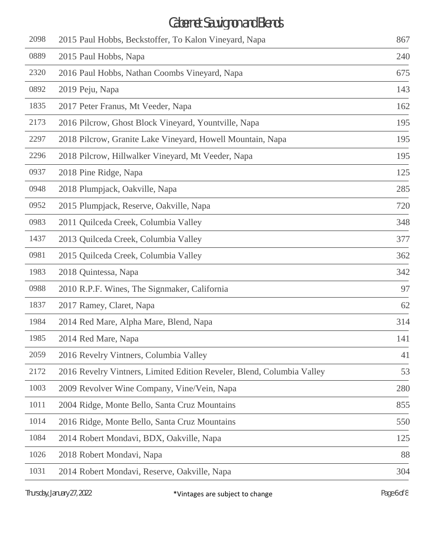| 2098 | 2015 Paul Hobbs, Beckstoffer, To Kalon Vineyard, Napa                  | 867 |
|------|------------------------------------------------------------------------|-----|
| 0889 | 2015 Paul Hobbs, Napa                                                  | 240 |
| 2320 | 2016 Paul Hobbs, Nathan Coombs Vineyard, Napa                          | 675 |
| 0892 | 2019 Peju, Napa                                                        | 143 |
| 1835 | 2017 Peter Franus, Mt Veeder, Napa                                     | 162 |
| 2173 | 2016 Pilcrow, Ghost Block Vineyard, Yountville, Napa                   | 195 |
| 2297 | 2018 Pilcrow, Granite Lake Vineyard, Howell Mountain, Napa             | 195 |
| 2296 | 2018 Pilcrow, Hillwalker Vineyard, Mt Veeder, Napa                     | 195 |
| 0937 | 2018 Pine Ridge, Napa                                                  | 125 |
| 0948 | 2018 Plumpjack, Oakville, Napa                                         | 285 |
| 0952 | 2015 Plumpjack, Reserve, Oakville, Napa                                | 720 |
| 0983 | 2011 Quilceda Creek, Columbia Valley                                   | 348 |
| 1437 | 2013 Quilceda Creek, Columbia Valley                                   | 377 |
| 0981 | 2015 Quilceda Creek, Columbia Valley                                   | 362 |
| 1983 | 2018 Quintessa, Napa                                                   | 342 |
| 0988 | 2010 R.P.F. Wines, The Signmaker, California                           | 97  |
| 1837 | 2017 Ramey, Claret, Napa                                               | 62  |
| 1984 | 2014 Red Mare, Alpha Mare, Blend, Napa                                 | 314 |
| 1985 | 2014 Red Mare, Napa                                                    | 141 |
| 2059 | 2016 Revelry Vintners, Columbia Valley                                 | 41  |
| 2172 | 2016 Revelry Vintners, Limited Edition Reveler, Blend, Columbia Valley | 53  |
| 1003 | 2009 Revolver Wine Company, Vine/Vein, Napa                            | 280 |
| 1011 | 2004 Ridge, Monte Bello, Santa Cruz Mountains                          | 855 |
| 1014 | 2016 Ridge, Monte Bello, Santa Cruz Mountains                          | 550 |
| 1084 | 2014 Robert Mondavi, BDX, Oakville, Napa                               | 125 |
| 1026 | 2018 Robert Mondavi, Napa                                              | 88  |
| 1031 | 2014 Robert Mondavi, Reserve, Oakville, Napa                           | 304 |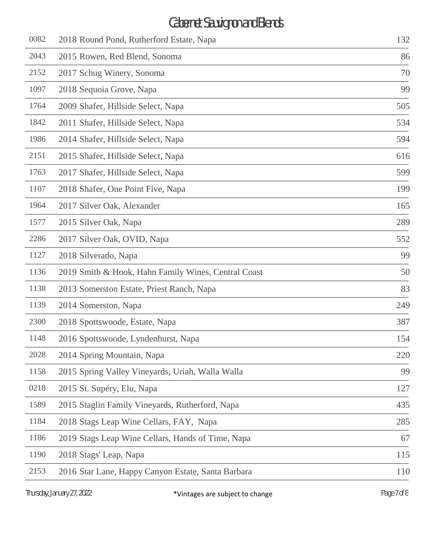| 0082 | 2018 Round Pond, Rutherford Estate, Napa            | 132 |
|------|-----------------------------------------------------|-----|
| 2043 | 2015 Rowen, Red Blend, Sonoma                       | 86  |
| 2152 | 2017 Schug Winery, Sonoma                           | 70  |
| 1097 | 2018 Sequoia Grove, Napa                            | 99  |
| 1764 | 2009 Shafer, Hillside Select, Napa                  | 505 |
| 1842 | 2011 Shafer, Hillside Select, Napa                  | 534 |
| 1986 | 2014 Shafer, Hillside Select, Napa                  | 594 |
| 2151 | 2015 Shafer, Hillside Select, Napa                  | 616 |
| 1763 | 2017 Shafer, Hillside Select, Napa                  | 599 |
| 1107 | 2018 Shafer, One Point Five, Napa                   | 199 |
| 1964 | 2017 Silver Oak, Alexander                          | 165 |
| 1577 | 2015 Silver Oak, Napa                               | 289 |
| 2286 | 2017 Silver Oak, OVID, Napa                         | 552 |
| 1127 | 2018 Silverado, Napa                                | 99  |
| 1136 | 2019 Smith & Hook, Hahn Family Wines, Central Coast | 50  |
| 1138 | 2013 Somerston Estate, Priest Ranch, Napa           | 83  |
| 1139 | 2014 Somerston, Napa                                | 249 |
| 2300 | 2018 Spottswoode, Estate, Napa                      | 387 |
| 1148 | 2016 Spottswoode, Lyndenhurst, Napa                 | 154 |
| 2028 | 2014 Spring Mountain, Napa                          | 220 |
| 1158 | 2015 Spring Valley Vineyards, Uriah, Walla Walla    | 99  |
| 0218 | 2015 St. Supéry, Elu, Napa                          | 127 |
| 1589 | 2015 Staglin Family Vineyards, Rutherford, Napa     | 435 |
| 1184 | 2018 Stags Leap Wine Cellars, FAY, Napa             | 285 |
| 1186 | 2019 Stags Leap Wine Cellars, Hands of Time, Napa   | 67  |
| 1190 | 2018 Stags' Leap, Napa                              | 115 |
| 2153 | 2016 Star Lane, Happy Canyon Estate, Santa Barbara  | 110 |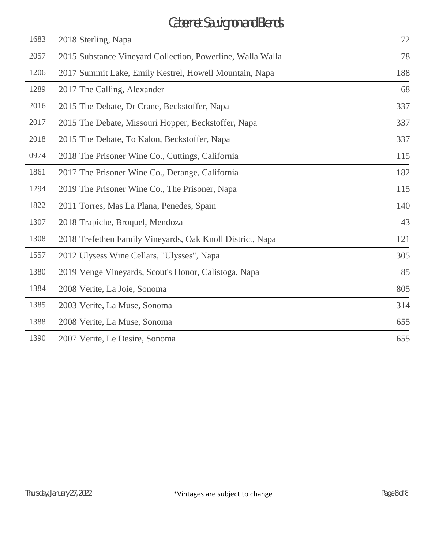| 1683 | 2018 Sterling, Napa                                        | 72  |
|------|------------------------------------------------------------|-----|
| 2057 | 2015 Substance Vineyard Collection, Powerline, Walla Walla | 78  |
| 1206 | 2017 Summit Lake, Emily Kestrel, Howell Mountain, Napa     | 188 |
| 1289 | 2017 The Calling, Alexander                                | 68  |
| 2016 | 2015 The Debate, Dr Crane, Beckstoffer, Napa               | 337 |
| 2017 | 2015 The Debate, Missouri Hopper, Beckstoffer, Napa        | 337 |
| 2018 | 2015 The Debate, To Kalon, Beckstoffer, Napa               | 337 |
| 0974 | 2018 The Prisoner Wine Co., Cuttings, California           | 115 |
| 1861 | 2017 The Prisoner Wine Co., Derange, California            | 182 |
| 1294 | 2019 The Prisoner Wine Co., The Prisoner, Napa             | 115 |
| 1822 | 2011 Torres, Mas La Plana, Penedes, Spain                  | 140 |
| 1307 | 2018 Trapiche, Broquel, Mendoza                            | 43  |
| 1308 | 2018 Trefethen Family Vineyards, Oak Knoll District, Napa  | 121 |
| 1557 | 2012 Ulysess Wine Cellars, "Ulysses", Napa                 | 305 |
| 1380 | 2019 Venge Vineyards, Scout's Honor, Calistoga, Napa       | 85  |
| 1384 | 2008 Verite, La Joie, Sonoma                               | 805 |
| 1385 | 2003 Verite, La Muse, Sonoma                               | 314 |
| 1388 | 2008 Verite, La Muse, Sonoma                               | 655 |
| 1390 | 2007 Verite, Le Desire, Sonoma                             | 655 |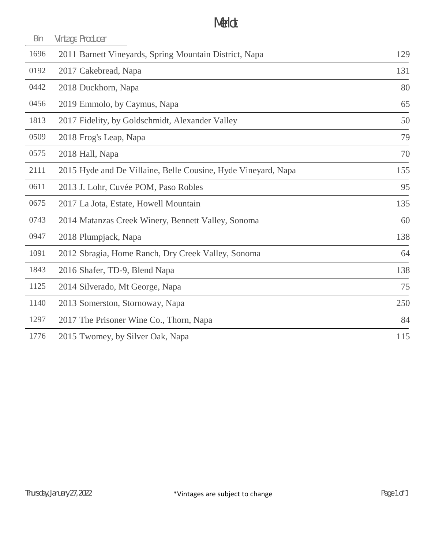#### Merlot

| Bin  | Vintage Producer                                              |     |
|------|---------------------------------------------------------------|-----|
| 1696 | 2011 Barnett Vineyards, Spring Mountain District, Napa        | 129 |
| 0192 | 2017 Cakebread, Napa                                          | 131 |
| 0442 | 2018 Duckhorn, Napa                                           | 80  |
| 0456 | 2019 Emmolo, by Caymus, Napa                                  | 65  |
| 1813 | 2017 Fidelity, by Goldschmidt, Alexander Valley               | 50  |
| 0509 | 2018 Frog's Leap, Napa                                        | 79  |
| 0575 | 2018 Hall, Napa                                               | 70  |
| 2111 | 2015 Hyde and De Villaine, Belle Cousine, Hyde Vineyard, Napa | 155 |
| 0611 | 2013 J. Lohr, Cuvée POM, Paso Robles                          | 95  |
| 0675 | 2017 La Jota, Estate, Howell Mountain                         | 135 |
| 0743 | 2014 Matanzas Creek Winery, Bennett Valley, Sonoma            | 60  |
| 0947 | 2018 Plumpjack, Napa                                          | 138 |
| 1091 | 2012 Sbragia, Home Ranch, Dry Creek Valley, Sonoma            | 64  |
| 1843 | 2016 Shafer, TD-9, Blend Napa                                 | 138 |
| 1125 | 2014 Silverado, Mt George, Napa                               | 75  |
| 1140 | 2013 Somerston, Stornoway, Napa                               | 250 |
| 1297 | 2017 The Prisoner Wine Co., Thorn, Napa                       | 84  |
| 1776 | 2015 Twomey, by Silver Oak, Napa                              | 115 |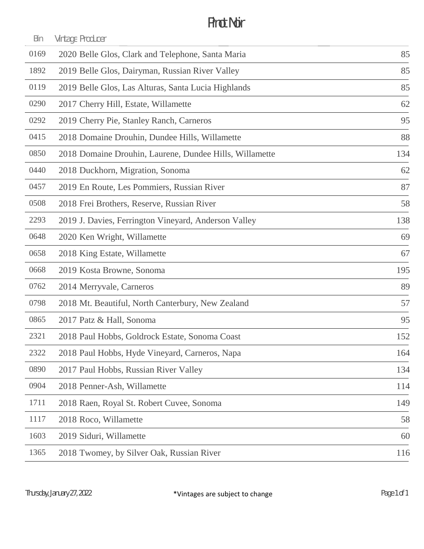### Pinot Noir

| Bin  | Vintage Producer                                        |     |
|------|---------------------------------------------------------|-----|
| 0169 | 2020 Belle Glos, Clark and Telephone, Santa Maria       | 85  |
| 1892 | 2019 Belle Glos, Dairyman, Russian River Valley         | 85  |
| 0119 | 2019 Belle Glos, Las Alturas, Santa Lucia Highlands     | 85  |
| 0290 | 2017 Cherry Hill, Estate, Willamette                    | 62  |
| 0292 | 2019 Cherry Pie, Stanley Ranch, Carneros                | 95  |
| 0415 | 2018 Domaine Drouhin, Dundee Hills, Willamette          | 88  |
| 0850 | 2018 Domaine Drouhin, Laurene, Dundee Hills, Willamette | 134 |
| 0440 | 2018 Duckhorn, Migration, Sonoma                        | 62  |
| 0457 | 2019 En Route, Les Pommiers, Russian River              | 87  |
| 0508 | 2018 Frei Brothers, Reserve, Russian River              | 58  |
| 2293 | 2019 J. Davies, Ferrington Vineyard, Anderson Valley    | 138 |
| 0648 | 2020 Ken Wright, Willamette                             | 69  |
| 0658 | 2018 King Estate, Willamette                            | 67  |
| 0668 | 2019 Kosta Browne, Sonoma                               | 195 |
| 0762 | 2014 Merryvale, Carneros                                | 89  |
| 0798 | 2018 Mt. Beautiful, North Canterbury, New Zealand       | 57  |
| 0865 | 2017 Patz & Hall, Sonoma                                | 95  |
| 2321 | 2018 Paul Hobbs, Goldrock Estate, Sonoma Coast          | 152 |
| 2322 | 2018 Paul Hobbs, Hyde Vineyard, Carneros, Napa          | 164 |
| 0890 | 2017 Paul Hobbs, Russian River Valley                   | 134 |
| 0904 | 2018 Penner-Ash, Willamette                             | 114 |
| 1711 | 2018 Raen, Royal St. Robert Cuvee, Sonoma               | 149 |
| 1117 | 2018 Roco, Willamette                                   | 58  |
| 1603 | 2019 Siduri, Willamette                                 | 60  |
| 1365 | 2018 Twomey, by Silver Oak, Russian River               | 116 |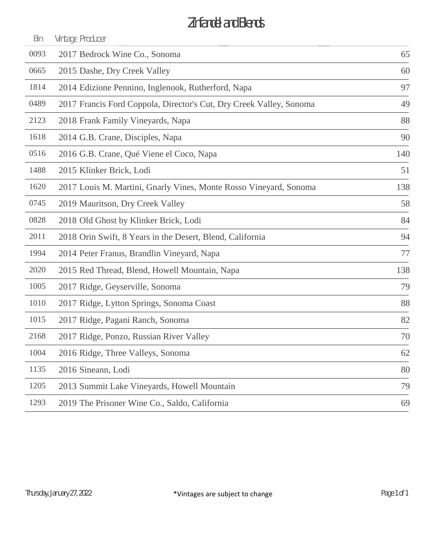# Zinfandel and Blends

|     | Vintage Producer                                                    | BIN  |
|-----|---------------------------------------------------------------------|------|
| 65  | 2017 Bedrock Wine Co., Sonoma                                       | 0093 |
| 60  | 2015 Dashe, Dry Creek Valley                                        | 0665 |
| 97  | 2014 Edizione Pennino, Inglenook, Rutherford, Napa                  | 1814 |
| 49  | 2017 Francis Ford Coppola, Director's Cut, Dry Creek Valley, Sonoma | 0489 |
| 88  | 2018 Frank Family Vineyards, Napa                                   | 2123 |
| 90  | 2014 G.B. Crane, Disciples, Napa                                    | 1618 |
| 140 | 2016 G.B. Crane, Qué Viene el Coco, Napa                            | 0516 |
| 51  | 2015 Klinker Brick, Lodi                                            | 1488 |
| 138 | 2017 Louis M. Martini, Gnarly Vines, Monte Rosso Vineyard, Sonoma   | 1620 |
| 58  | 2019 Mauritson, Dry Creek Valley                                    | 0745 |
| 84  | 2018 Old Ghost by Klinker Brick, Lodi                               | 0828 |
| 94  | 2018 Orin Swift, 8 Years in the Desert, Blend, California           | 2011 |
| 77  | 2014 Peter Franus, Brandlin Vineyard, Napa                          | 1994 |
| 138 | 2015 Red Thread, Blend, Howell Mountain, Napa                       | 2020 |
| 79  | 2017 Ridge, Geyserville, Sonoma                                     | 1005 |
| 88  | 2017 Ridge, Lytton Springs, Sonoma Coast                            | 1010 |
| 82  | 2017 Ridge, Pagani Ranch, Sonoma                                    | 1015 |
| 70  | 2017 Ridge, Ponzo, Russian River Valley                             | 2168 |
| 62  | 2016 Ridge, Three Valleys, Sonoma                                   | 1004 |
| 80  | 2016 Sineann, Lodi                                                  | 1135 |
| 79  | 2013 Summit Lake Vineyards, Howell Mountain                         | 1205 |
| 69  | 2019 The Prisoner Wine Co., Saldo, California                       | 1293 |
|     |                                                                     |      |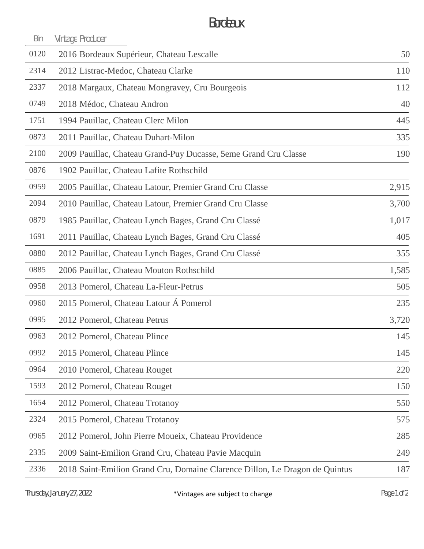### Bordeaux

| Bin  | Vintage Producer                                                            |       |
|------|-----------------------------------------------------------------------------|-------|
| 0120 | 2016 Bordeaux Supérieur, Chateau Lescalle                                   | 50    |
| 2314 | 2012 Listrac-Medoc, Chateau Clarke                                          | 110   |
| 2337 | 2018 Margaux, Chateau Mongravey, Cru Bourgeois                              | 112   |
| 0749 | 2018 Médoc, Chateau Andron                                                  | 40    |
| 1751 | 1994 Pauillac, Chateau Clerc Milon                                          | 445   |
| 0873 | 2011 Pauillac, Chateau Duhart-Milon                                         | 335   |
| 2100 | 2009 Pauillac, Chateau Grand-Puy Ducasse, 5eme Grand Cru Classe             | 190   |
| 0876 | 1902 Pauillac, Chateau Lafite Rothschild                                    |       |
| 0959 | 2005 Pauillac, Chateau Latour, Premier Grand Cru Classe                     | 2,915 |
| 2094 | 2010 Pauillac, Chateau Latour, Premier Grand Cru Classe                     | 3,700 |
| 0879 | 1985 Pauillac, Chateau Lynch Bages, Grand Cru Classé                        | 1,017 |
| 1691 | 2011 Pauillac, Chateau Lynch Bages, Grand Cru Classé                        | 405   |
| 0880 | 2012 Pauillac, Chateau Lynch Bages, Grand Cru Classé                        | 355   |
| 0885 | 2006 Pauillac, Chateau Mouton Rothschild                                    | 1,585 |
| 0958 | 2013 Pomerol, Chateau La-Fleur-Petrus                                       | 505   |
| 0960 | 2015 Pomerol, Chateau Latour Á Pomerol                                      | 235   |
| 0995 | 2012 Pomerol, Chateau Petrus                                                | 3,720 |
| 0963 | 2012 Pomerol, Chateau Plince                                                | 145   |
| 0992 | 2015 Pomerol, Chateau Plince                                                | 145   |
| 0964 | 2010 Pomerol, Chateau Rouget                                                | 220   |
| 1593 | 2012 Pomerol, Chateau Rouget                                                | 150   |
| 1654 | 2012 Pomerol, Chateau Trotanoy                                              | 550   |
| 2324 | 2015 Pomerol, Chateau Trotanoy                                              | 575   |
| 0965 | 2012 Pomerol, John Pierre Moueix, Chateau Providence                        | 285   |
| 2335 | 2009 Saint-Emilion Grand Cru, Chateau Pavie Macquin                         | 249   |
| 2336 | 2018 Saint-Emilion Grand Cru, Domaine Clarence Dillon, Le Dragon de Quintus | 187   |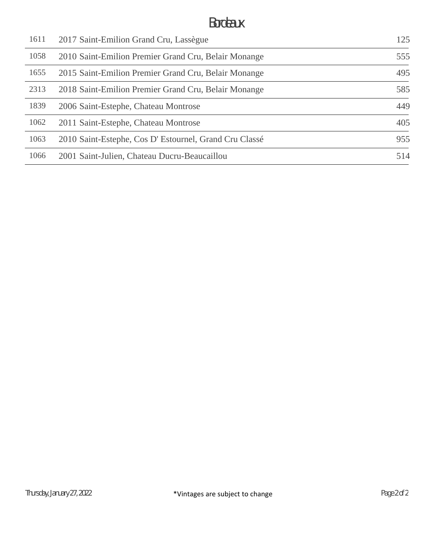## Bordeaux

| 1611 | 2017 Saint-Emilion Grand Cru, Lassègue                | 125 |
|------|-------------------------------------------------------|-----|
| 1058 | 2010 Saint-Emilion Premier Grand Cru, Belair Monange  | 555 |
| 1655 | 2015 Saint-Emilion Premier Grand Cru, Belair Monange  | 495 |
| 2313 | 2018 Saint-Emilion Premier Grand Cru, Belair Monange  | 585 |
| 1839 | 2006 Saint-Estephe, Chateau Montrose                  | 449 |
| 1062 | 2011 Saint-Estephe, Chateau Montrose                  | 405 |
| 1063 | 2010 Saint-Estephe, Cos D'Estournel, Grand Cru Classé | 955 |
| 1066 | 2001 Saint-Julien, Chateau Ducru-Beaucaillou          | 514 |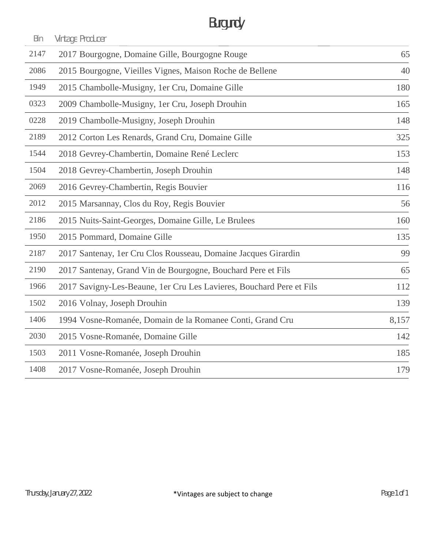# Burgundy

| Bin  | Vintage Producer                                                     |       |
|------|----------------------------------------------------------------------|-------|
| 2147 | 2017 Bourgogne, Domaine Gille, Bourgogne Rouge                       | 65    |
| 2086 | 2015 Bourgogne, Vieilles Vignes, Maison Roche de Bellene             | 40    |
| 1949 | 2015 Chambolle-Musigny, 1er Cru, Domaine Gille                       | 180   |
| 0323 | 2009 Chambolle-Musigny, 1er Cru, Joseph Drouhin                      | 165   |
| 0228 | 2019 Chambolle-Musigny, Joseph Drouhin                               | 148   |
| 2189 | 2012 Corton Les Renards, Grand Cru, Domaine Gille                    | 325   |
| 1544 | 2018 Gevrey-Chambertin, Domaine René Leclerc                         | 153   |
| 1504 | 2018 Gevrey-Chambertin, Joseph Drouhin                               | 148   |
| 2069 | 2016 Gevrey-Chambertin, Regis Bouvier                                | 116   |
| 2012 | 2015 Marsannay, Clos du Roy, Regis Bouvier                           | 56    |
| 2186 | 2015 Nuits-Saint-Georges, Domaine Gille, Le Brulees                  | 160   |
| 1950 | 2015 Pommard, Domaine Gille                                          | 135   |
| 2187 | 2017 Santenay, 1er Cru Clos Rousseau, Domaine Jacques Girardin       | 99    |
| 2190 | 2017 Santenay, Grand Vin de Bourgogne, Bouchard Pere et Fils         | 65    |
| 1966 | 2017 Savigny-Les-Beaune, 1er Cru Les Lavieres, Bouchard Pere et Fils | 112   |
| 1502 | 2016 Volnay, Joseph Drouhin                                          | 139   |
| 1406 | 1994 Vosne-Romanée, Domain de la Romanee Conti, Grand Cru            | 8,157 |
| 2030 | 2015 Vosne-Romanée, Domaine Gille                                    | 142   |
| 1503 | 2011 Vosne-Romanée, Joseph Drouhin                                   | 185   |
| 1408 | 2017 Vosne-Romanée, Joseph Drouhin                                   | 179   |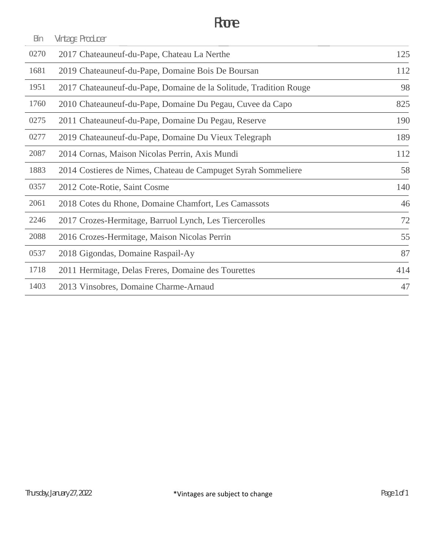| Bin  | Vintage Producer                                                  |     |
|------|-------------------------------------------------------------------|-----|
| 0270 | 2017 Chateauneuf-du-Pape, Chateau La Nerthe                       | 125 |
| 1681 | 2019 Chateauneuf-du-Pape, Domaine Bois De Boursan                 | 112 |
| 1951 | 2017 Chateauneuf-du-Pape, Domaine de la Solitude, Tradition Rouge | 98  |
| 1760 | 2010 Chateauneuf-du-Pape, Domaine Du Pegau, Cuvee da Capo         | 825 |
| 0275 | 2011 Chateauneuf-du-Pape, Domaine Du Pegau, Reserve               | 190 |
| 0277 | 2019 Chateauneuf-du-Pape, Domaine Du Vieux Telegraph              | 189 |
| 2087 | 2014 Cornas, Maison Nicolas Perrin, Axis Mundi                    | 112 |
| 1883 | 2014 Costieres de Nimes, Chateau de Campuget Syrah Sommeliere     | 58  |
| 0357 | 2012 Cote-Rotie, Saint Cosme                                      | 140 |
| 2061 | 2018 Cotes du Rhone, Domaine Chamfort, Les Camassots              | 46  |
| 2246 | 2017 Crozes-Hermitage, Barruol Lynch, Les Tiercerolles            | 72  |
| 2088 | 2016 Crozes-Hermitage, Maison Nicolas Perrin                      | 55  |
| 0537 | 2018 Gigondas, Domaine Raspail-Ay                                 | 87  |
| 1718 | 2011 Hermitage, Delas Freres, Domaine des Tourettes               | 414 |
| 1403 | 2013 Vinsobres, Domaine Charme-Arnaud                             | 47  |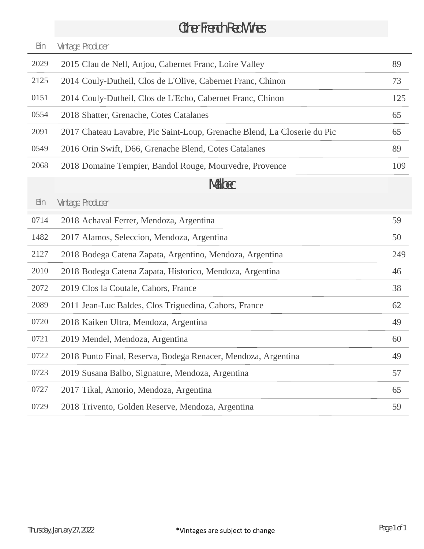# Other French Red Wines

| Bin  | Vintage Producer                                                         |     |
|------|--------------------------------------------------------------------------|-----|
| 2029 | 2015 Clau de Nell, Anjou, Cabernet Franc, Loire Valley                   | 89  |
| 2125 | 2014 Couly-Dutheil, Clos de L'Olive, Cabernet Franc, Chinon              | 73  |
| 0151 | 2014 Couly-Dutheil, Clos de L'Echo, Cabernet Franc, Chinon               | 125 |
| 0554 | 2018 Shatter, Grenache, Cotes Catalanes                                  | 65  |
| 2091 | 2017 Chateau Lavabre, Pic Saint-Loup, Grenache Blend, La Closerie du Pic | 65  |
| 0549 | 2016 Orin Swift, D66, Grenache Blend, Cotes Catalanes                    | 89  |
| 2068 | 2018 Domaine Tempier, Bandol Rouge, Mourvedre, Provence                  | 109 |
|      | Malbec                                                                   |     |
| Bin  | Vintage Producer                                                         |     |
| 0714 | 2018 Achaval Ferrer, Mendoza, Argentina                                  | 59  |
| 1482 | 2017 Alamos, Seleccion, Mendoza, Argentina                               | 50  |
| 2127 | 2018 Bodega Catena Zapata, Argentino, Mendoza, Argentina                 | 249 |
| 2010 | 2018 Bodega Catena Zapata, Historico, Mendoza, Argentina                 | 46  |
| 2072 | 2019 Clos la Coutale, Cahors, France                                     | 38  |
| 2089 | 2011 Jean-Luc Baldes, Clos Triguedina, Cahors, France                    | 62  |
| 0720 | 2018 Kaiken Ultra, Mendoza, Argentina                                    | 49  |
| 0721 | 2019 Mendel, Mendoza, Argentina                                          | 60  |
| 0722 | 2018 Punto Final, Reserva, Bodega Renacer, Mendoza, Argentina            | 49  |
| 0723 | 2019 Susana Balbo, Signature, Mendoza, Argentina                         | 57  |
| 0727 | 2017 Tikal, Amorio, Mendoza, Argentina                                   | 65  |
| 0729 | 2018 Trivento, Golden Reserve, Mendoza, Argentina                        | 59  |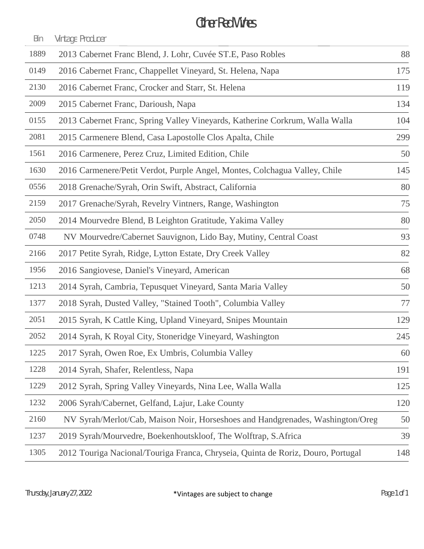### Other Red Wines

| Bin  | Vintage Producer                                                                 |     |
|------|----------------------------------------------------------------------------------|-----|
| 1889 | 2013 Cabernet Franc Blend, J. Lohr, Cuvée ST.E, Paso Robles                      | 88  |
| 0149 | 2016 Cabernet Franc, Chappellet Vineyard, St. Helena, Napa                       | 175 |
| 2130 | 2016 Cabernet Franc, Crocker and Starr, St. Helena                               | 119 |
| 2009 | 2015 Cabernet Franc, Darioush, Napa                                              | 134 |
| 0155 | 2013 Cabernet Franc, Spring Valley Vineyards, Katherine Corkrum, Walla Walla     | 104 |
| 2081 | 2015 Carmenere Blend, Casa Lapostolle Clos Apalta, Chile                         | 299 |
| 1561 | 2016 Carmenere, Perez Cruz, Limited Edition, Chile                               | 50  |
| 1630 | 2016 Carmenere/Petit Verdot, Purple Angel, Montes, Colchagua Valley, Chile       | 145 |
| 0556 | 2018 Grenache/Syrah, Orin Swift, Abstract, California                            | 80  |
| 2159 | 2017 Grenache/Syrah, Revelry Vintners, Range, Washington                         | 75  |
| 2050 | 2014 Mourvedre Blend, B Leighton Gratitude, Yakima Valley                        | 80  |
| 0748 | NV Mourvedre/Cabernet Sauvignon, Lido Bay, Mutiny, Central Coast                 | 93  |
| 2166 | 2017 Petite Syrah, Ridge, Lytton Estate, Dry Creek Valley                        | 82  |
| 1956 | 2016 Sangiovese, Daniel's Vineyard, American                                     | 68  |
| 1213 | 2014 Syrah, Cambria, Tepusquet Vineyard, Santa Maria Valley                      | 50  |
| 1377 | 2018 Syrah, Dusted Valley, "Stained Tooth", Columbia Valley                      | 77  |
| 2051 | 2015 Syrah, K Cattle King, Upland Vineyard, Snipes Mountain                      | 129 |
| 2052 | 2014 Syrah, K Royal City, Stoneridge Vineyard, Washington                        | 245 |
| 1225 | 2017 Syrah, Owen Roe, Ex Umbris, Columbia Valley                                 | 60  |
| 1228 | 2014 Syrah, Shafer, Relentless, Napa                                             | 191 |
| 1229 | 2012 Syrah, Spring Valley Vineyards, Nina Lee, Walla Walla                       | 125 |
| 1232 | 2006 Syrah/Cabernet, Gelfand, Lajur, Lake County                                 | 120 |
| 2160 | NV Syrah/Merlot/Cab, Maison Noir, Horseshoes and Handgrenades, Washington/Oreg   | 50  |
| 1237 | 2019 Syrah/Mourvedre, Boekenhoutskloof, The Wolftrap, S.Africa                   | 39  |
| 1305 | 2012 Touriga Nacional/Touriga Franca, Chryseia, Quinta de Roriz, Douro, Portugal | 148 |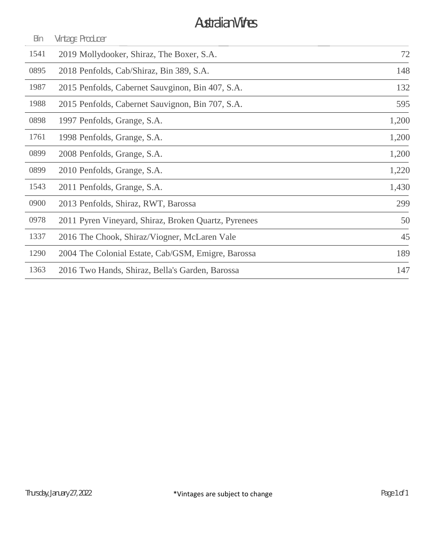## Australian Wines

| Bin  | Vintage Producer                                     |       |
|------|------------------------------------------------------|-------|
| 1541 | 2019 Mollydooker, Shiraz, The Boxer, S.A.            | 72    |
| 0895 | 2018 Penfolds, Cab/Shiraz, Bin 389, S.A.             | 148   |
| 1987 | 2015 Penfolds, Cabernet Sauvginon, Bin 407, S.A.     | 132   |
| 1988 | 2015 Penfolds, Cabernet Sauvignon, Bin 707, S.A.     | 595   |
| 0898 | 1997 Penfolds, Grange, S.A.                          | 1,200 |
| 1761 | 1998 Penfolds, Grange, S.A.                          | 1,200 |
| 0899 | 2008 Penfolds, Grange, S.A.                          | 1,200 |
| 0899 | 2010 Penfolds, Grange, S.A.                          | 1,220 |
| 1543 | 2011 Penfolds, Grange, S.A.                          | 1,430 |
| 0900 | 2013 Penfolds, Shiraz, RWT, Barossa                  | 299   |
| 0978 | 2011 Pyren Vineyard, Shiraz, Broken Quartz, Pyrenees | 50    |
| 1337 | 2016 The Chook, Shiraz/Viogner, McLaren Vale         | 45    |
| 1290 | 2004 The Colonial Estate, Cab/GSM, Emigre, Barossa   | 189   |
| 1363 | 2016 Two Hands, Shiraz, Bella's Garden, Barossa      | 147   |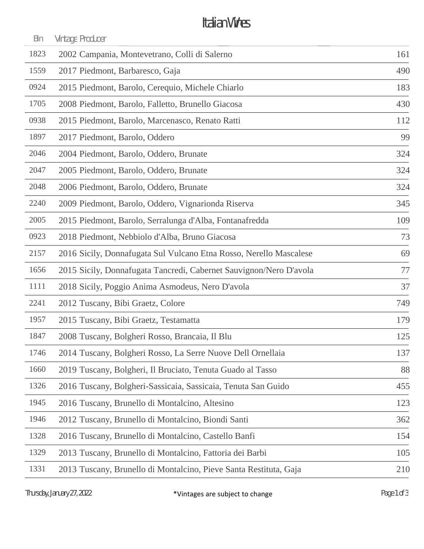## Italian Wines

| Bin  | Vintage Producer                                                   |     |
|------|--------------------------------------------------------------------|-----|
| 1823 | 2002 Campania, Montevetrano, Colli di Salerno                      | 161 |
| 1559 | 2017 Piedmont, Barbaresco, Gaja                                    | 490 |
| 0924 | 2015 Piedmont, Barolo, Cerequio, Michele Chiarlo                   | 183 |
| 1705 | 2008 Piedmont, Barolo, Falletto, Brunello Giacosa                  | 430 |
| 0938 | 2015 Piedmont, Barolo, Marcenasco, Renato Ratti                    | 112 |
| 1897 | 2017 Piedmont, Barolo, Oddero                                      | 99  |
| 2046 | 2004 Piedmont, Barolo, Oddero, Brunate                             | 324 |
| 2047 | 2005 Piedmont, Barolo, Oddero, Brunate                             | 324 |
| 2048 | 2006 Piedmont, Barolo, Oddero, Brunate                             | 324 |
| 2240 | 2009 Piedmont, Barolo, Oddero, Vignarionda Riserva                 | 345 |
| 2005 | 2015 Piedmont, Barolo, Serralunga d'Alba, Fontanafredda            | 109 |
| 0923 | 2018 Piedmont, Nebbiolo d'Alba, Bruno Giacosa                      | 73  |
| 2157 | 2016 Sicily, Donnafugata Sul Vulcano Etna Rosso, Nerello Mascalese | 69  |
| 1656 | 2015 Sicily, Donnafugata Tancredi, Cabernet Sauvignon/Nero D'avola | 77  |
| 1111 | 2018 Sicily, Poggio Anima Asmodeus, Nero D'avola                   | 37  |
| 2241 | 2012 Tuscany, Bibi Graetz, Colore                                  | 749 |
| 1957 | 2015 Tuscany, Bibi Graetz, Testamatta                              | 179 |
| 1847 | 2008 Tuscany, Bolgheri Rosso, Brancaia, Il Blu                     | 125 |
| 1746 | 2014 Tuscany, Bolgheri Rosso, La Serre Nuove Dell Ornellaia        | 137 |
| 1660 | 2019 Tuscany, Bolgheri, Il Bruciato, Tenuta Guado al Tasso         | 88  |
| 1326 | 2016 Tuscany, Bolgheri-Sassicaia, Sassicaia, Tenuta San Guido      | 455 |
| 1945 | 2016 Tuscany, Brunello di Montalcino, Altesino                     | 123 |
| 1946 | 2012 Tuscany, Brunello di Montalcino, Biondi Santi                 | 362 |
| 1328 | 2016 Tuscany, Brunello di Montalcino, Castello Banfi               | 154 |
| 1329 | 2013 Tuscany, Brunello di Montalcino, Fattoria dei Barbi           | 105 |
| 1331 | 2013 Tuscany, Brunello di Montalcino, Pieve Santa Restituta, Gaja  | 210 |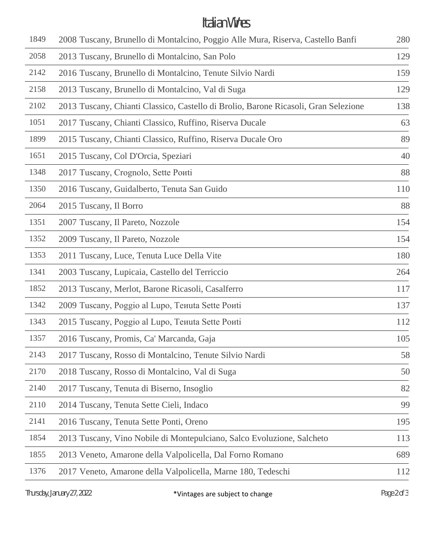### Italian Wines

| 1849 | 2008 Tuscany, Brunello di Montalcino, Poggio Alle Mura, Riserva, Castello Banfi     | 280 |
|------|-------------------------------------------------------------------------------------|-----|
| 2058 | 2013 Tuscany, Brunello di Montalcino, San Polo                                      | 129 |
| 2142 | 2016 Tuscany, Brunello di Montalcino, Tenute Silvio Nardi                           | 159 |
| 2158 | 2013 Tuscany, Brunello di Montalcino, Val di Suga                                   | 129 |
| 2102 | 2013 Tuscany, Chianti Classico, Castello di Brolio, Barone Ricasoli, Gran Selezione | 138 |
| 1051 | 2017 Tuscany, Chianti Classico, Ruffino, Riserva Ducale                             | 63  |
| 1899 | 2015 Tuscany, Chianti Classico, Ruffino, Riserva Ducale Oro                         | 89  |
| 1651 | 2015 Tuscany, Col D'Orcia, Speziari                                                 | 40  |
| 1348 | 2017 Tuscany, Crognolo, Sette Pouti                                                 | 88  |
| 1350 | 2016 Tuscany, Guidalberto, Tenuta San Guido                                         | 110 |
| 2064 | 2015 Tuscany, Il Borro                                                              | 88  |
| 1351 | 2007 Tuscany, Il Pareto, Nozzole                                                    | 154 |
| 1352 | 2009 Tuscany, Il Pareto, Nozzole                                                    | 154 |
| 1353 | 2011 Tuscany, Luce, Tenuta Luce Della Vite                                          | 180 |
| 1341 | 2003 Tuscany, Lupicaia, Castello del Terriccio                                      | 264 |
| 1852 | 2013 Tuscany, Merlot, Barone Ricasoli, Casalferro                                   | 117 |
| 1342 | 2009 Tuscany, Poggio al Lupo, Tenuta Sette Ponti                                    | 137 |
| 1343 | 2015 Tuscany, Poggio al Lupo, Tenuta Sette Ponti                                    | 112 |
| 1357 | 2016 Tuscany, Promis, Ca' Marcanda, Gaja                                            | 105 |
| 2143 | 2017 Tuscany, Rosso di Montalcino, Tenute Silvio Nardi                              | 58  |
| 2170 | 2018 Tuscany, Rosso di Montalcino, Val di Suga                                      | 50  |
| 2140 | 2017 Tuscany, Tenuta di Biserno, Insoglio                                           | 82  |
| 2110 | 2014 Tuscany, Tenuta Sette Cieli, Indaco                                            | 99  |
| 2141 | 2016 Tuscany, Tenuta Sette Ponti, Oreno                                             | 195 |
| 1854 | 2013 Tuscany, Vino Nobile di Montepulciano, Salco Evoluzione, Salcheto              | 113 |
| 1855 | 2013 Veneto, Amarone della Valpolicella, Dal Forno Romano                           | 689 |
| 1376 | 2017 Veneto, Amarone della Valpolicella, Marne 180, Tedeschi                        | 112 |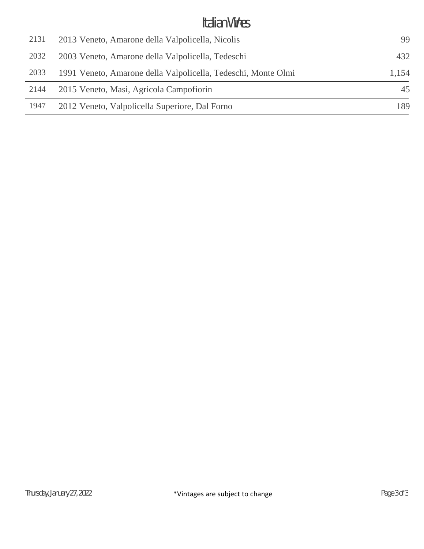### Italian Wines

| 2131 | 2013 Veneto, Amarone della Valpolicella, Nicolis              | 99    |
|------|---------------------------------------------------------------|-------|
| 2032 | 2003 Veneto, Amarone della Valpolicella, Tedeschi             | 432   |
| 2033 | 1991 Veneto, Amarone della Valpolicella, Tedeschi, Monte Olmi | 1,154 |
| 2144 | 2015 Veneto, Masi, Agricola Campofiorin                       | 45    |
| 1947 | 2012 Veneto, Valpolicella Superiore, Dal Forno                | 189   |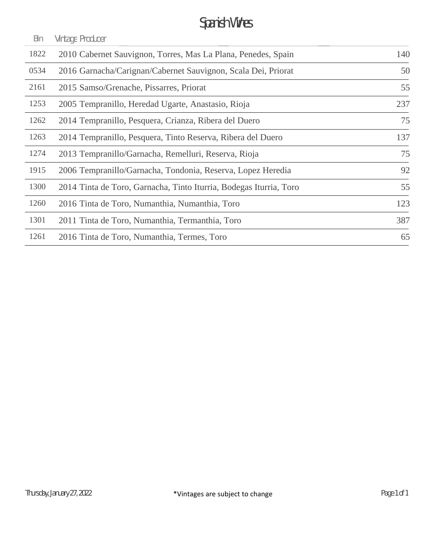# Spanish Wines

| Bin  | Vintage Producer                                                   |     |
|------|--------------------------------------------------------------------|-----|
| 1822 | 2010 Cabernet Sauvignon, Torres, Mas La Plana, Penedes, Spain      | 140 |
| 0534 | 2016 Garnacha/Carignan/Cabernet Sauvignon, Scala Dei, Priorat      | 50  |
| 2161 | 2015 Samso/Grenache, Pissarres, Priorat                            | 55  |
| 1253 | 2005 Tempranillo, Heredad Ugarte, Anastasio, Rioja                 | 237 |
| 1262 | 2014 Tempranillo, Pesquera, Crianza, Ribera del Duero              | 75  |
| 1263 | 2014 Tempranillo, Pesquera, Tinto Reserva, Ribera del Duero        | 137 |
| 1274 | 2013 Tempranillo/Garnacha, Remelluri, Reserva, Rioja               | 75  |
| 1915 | 2006 Tempranillo/Garnacha, Tondonia, Reserva, Lopez Heredia        | 92  |
| 1300 | 2014 Tinta de Toro, Garnacha, Tinto Iturria, Bodegas Iturria, Toro | 55  |
| 1260 | 2016 Tinta de Toro, Numanthia, Numanthia, Toro                     | 123 |
| 1301 | 2011 Tinta de Toro, Numanthia, Termanthia, Toro                    | 387 |
| 1261 | 2016 Tinta de Toro, Numanthia, Termes, Toro                        | 65  |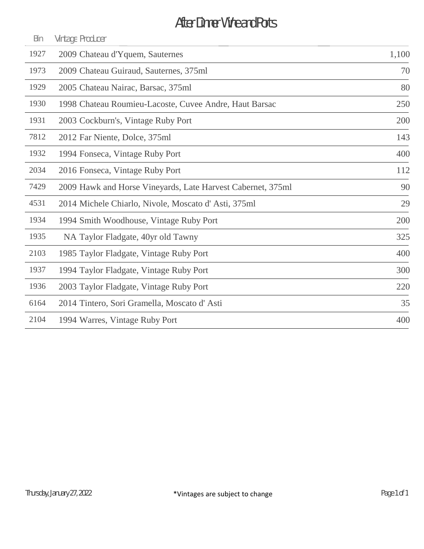# After Dinner Wine and Ports

| Bin  | Vintage Producer                                            |       |
|------|-------------------------------------------------------------|-------|
| 1927 | 2009 Chateau d'Yquem, Sauternes                             | 1,100 |
| 1973 | 2009 Chateau Guiraud, Sauternes, 375ml                      | 70    |
| 1929 | 2005 Chateau Nairac, Barsac, 375ml                          | 80    |
| 1930 | 1998 Chateau Roumieu-Lacoste, Cuvee Andre, Haut Barsac      | 250   |
| 1931 | 2003 Cockburn's, Vintage Ruby Port                          | 200   |
| 7812 | 2012 Far Niente, Dolce, 375ml                               | 143   |
| 1932 | 1994 Fonseca, Vintage Ruby Port                             | 400   |
| 2034 | 2016 Fonseca, Vintage Ruby Port                             | 112   |
| 7429 | 2009 Hawk and Horse Vineyards, Late Harvest Cabernet, 375ml | 90    |
| 4531 | 2014 Michele Chiarlo, Nivole, Moscato d'Asti, 375ml         | 29    |
| 1934 | 1994 Smith Woodhouse, Vintage Ruby Port                     | 200   |
| 1935 | NA Taylor Fladgate, 40yr old Tawny                          | 325   |
| 2103 | 1985 Taylor Fladgate, Vintage Ruby Port                     | 400   |
| 1937 | 1994 Taylor Fladgate, Vintage Ruby Port                     | 300   |
| 1936 | 2003 Taylor Fladgate, Vintage Ruby Port                     | 220   |
| 6164 | 2014 Tintero, Sori Gramella, Moscato d'Asti                 | 35    |
| 2104 | 1994 Warres, Vintage Ruby Port                              | 400   |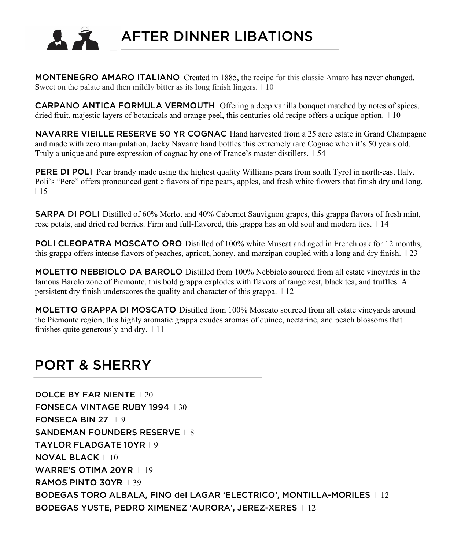

AFTER DINNER LIBATIONS

MONTENEGRO AMARO ITALIANO Created in 1885, the recipe for this classic Amaro has never changed. Sweet on the palate and then mildly bitter as its long finish lingers. 110

CARPANO ANTICA FORMULA VERMOUTHOffering a deep vanilla bouquet matched by notes of spices, dried fruit, majestic layers of botanicals and orange peel, this centuries-old recipe offers a unique option. 110

NAVARRE VIEILLE RESERVE 50 YR COGNAC Hand harvested from a 25 acre estate in Grand Champagne and made with zero manipulation, Jacky Navarre hand bottles this extremely rare Cognac when it's 50 years old. Truly a unique and pure expression of cognac by one of France's master distillers. I 54

PERE DI POLI Pear brandy made using the highest quality Williams pears from south Tyrol in north-east Italy. Poli's "Pere" offers pronounced gentle flavors of ripe pears, apples, and fresh white flowers that finish dry and long.  $115$ 

SARPA DI POLI Distilled of 60% Merlot and 40% Cabernet Sauvignon grapes, this grappa flavors of fresh mint, rose petals, and dried red berries. Firm and full-flavored, this grappa has an old soul and modern ties. I 14

POLI CLEOPATRA MOSCATO ORO Distilled of 100% white Muscat and aged in French oak for 12 months, this grappa offers intense flavors of peaches, apricot, honey, and marzipan coupled with a long and dry finish. I 23

MOLETTO NEBBIOLO DA BAROLO Distilled from 100% Nebbiolo sourced from all estate vineyards in the famous Barolo zone of Piemonte, this bold grappa explodes with flavors of range zest, black tea, and truffles. A persistent dry finish underscores the quality and character of this grappa. I 12

MOLETTO GRAPPA DI MOSCATO Distilled from 100% Moscato sourced from all estate vineyards around the Piemonte region, this highly aromatic grappa exudes aromas of quince, nectarine, and peach blossoms that finishes quite generously and dry.  $\vert$  11

### PORT & SHERRY

DOLCE BY FAR NIENTE | 20 FONSECA VINTAGE RUBY 1994 | 30 FONSECA BIN 27 | 9 SANDEMAN FOUNDERS RESERVE | 8 TAYLOR FLADGATE 10YR I 9 NOVAL BLACK I 10 WARRE'S OTIMA 20YR | 19 RAMOS PINTO 30YR | 39 BODEGAS TORO ALBALA, FINO del LAGAR 'ELECTRICO', MONTILLA-MORILES I 12 BODEGAS YUSTE, PEDRO XIMENEZ 'AURORA', JEREZ-XERES I 12